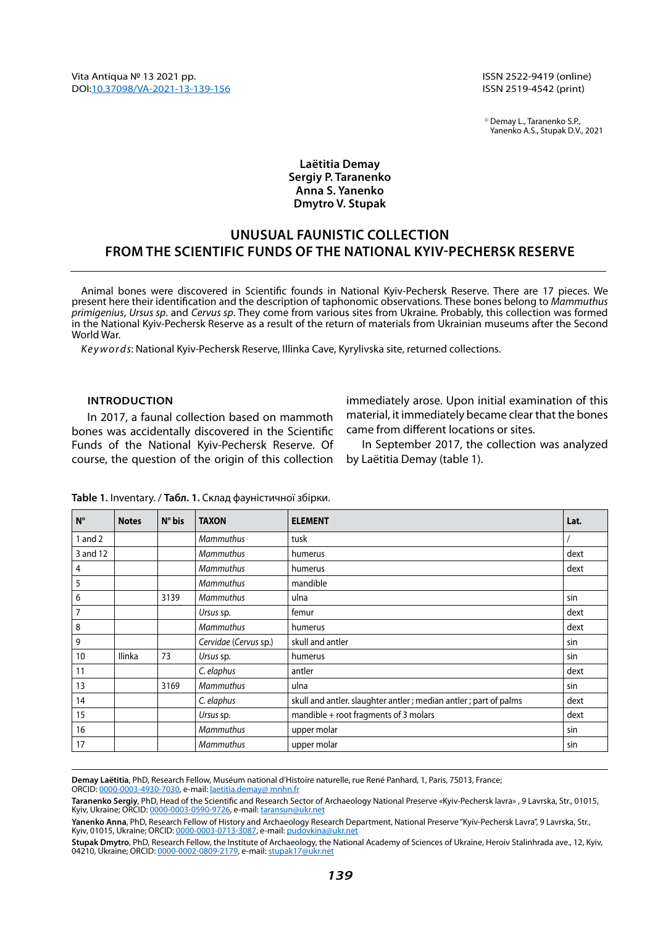ISSN 2522-9419 (online) ISSN 2519-4542 (print)

© Demay L., Taranenko S.P., Yanenko A.S., Stupak D.V., 2021

### **Laëtitia Demay Sergiy P. Taranenko Anna S. Yanenko Dmytro V. Stupak**

# **Unusual faunistic collection from the Scientific funds of the National Kyiv-Pechersk Reserve**

Animal bones were discovered in Scientific founds in National Kyiv-Pechersk Reserve. There are 17 pieces. We present here their identification and the description of taphonomic observations. These bones belong to *Mammuthus primigenius*, *Ursus sp*. and *Cervus sp*. They come from various sites from Ukraine. Probably, this collection was formed in the National Kyiv-Pechersk Reserve as a result of the return of materials from Ukrainian museums after the Second World War.

*Keywords*: National Kyiv-Pechersk Reserve, Illinka Cave, Kyrylivska site, returned collections.

#### **Introduction**

In 2017, a faunal collection based on mammoth bones was accidentally discovered in the Scientific Funds of the National Kyiv-Pechersk Reserve. Of course, the question of the origin of this collection

immediately arose. Upon initial examination of this material, it immediately became clear that the bones came from different locations or sites.

In September 2017, the collection was analyzed by Laëtitia Demay (table 1).

| $N^{\circ}$ | <b>Notes</b>  | $N^{\circ}$ bis | <b>TAXON</b>          | <b>ELEMENT</b>                                                     | Lat. |
|-------------|---------------|-----------------|-----------------------|--------------------------------------------------------------------|------|
| 1 and $2$   |               |                 | <b>Mammuthus</b>      | tusk                                                               |      |
| 3 and 12    |               |                 | <b>Mammuthus</b>      | humerus                                                            | dext |
| 4           |               |                 | <b>Mammuthus</b>      | humerus                                                            | dext |
| 5           |               |                 | <b>Mammuthus</b>      | mandible                                                           |      |
| 6           |               | 3139            | <b>Mammuthus</b>      | ulna                                                               | sin  |
| 7           |               |                 | Ursus sp.             | femur                                                              | dext |
| 8           |               |                 | <b>Mammuthus</b>      | humerus                                                            | dext |
| 9           |               |                 | Cervidae (Cervus sp.) | skull and antler                                                   | sin  |
| 10          | <b>Ilinka</b> | 73              | Ursus sp.             | humerus                                                            | sin  |
| 11          |               |                 | C. elaphus            | antler                                                             | dext |
| 13          |               | 3169            | <b>Mammuthus</b>      | ulna                                                               | sin  |
| 14          |               |                 | C. elaphus            | skull and antler. slaughter antler ; median antler ; part of palms | dext |
| 15          |               |                 | Ursus sp.             | mandible + root fragments of 3 molars                              | dext |
| 16          |               |                 | <b>Mammuthus</b>      | upper molar                                                        | sin  |
| 17          |               |                 | <b>Mammuthus</b>      | upper molar                                                        | sin  |

**Table 1.** Inventary. / **Табл. 1.** Склад фауністичної збірки.

**Demay Laëtitia**, PhD, Research Fellow, Muséum national d'Histoire naturelle, rue René Panhard, 1, Paris, 75013, France; ORCID: [0000-0003-4930-7030](https://orcid.org/0000-0003-4930-7030), e-mail: [laetitia.demay@ mnhn.fr](mailto:laetitia.demay%40%20mnhn.fr?subject=)

**Taranenko Sergiy**, PhD, Head of the Scientific and Research Sector of Archaeology National Preserve «Kyiv-Pechеrsk lavra» , 9 Lavrska, Str., 01015, Kyiv, Ukraine; ORCID: [0000-0003-0590-9726](https://orcid.org/0000-0003-0590-9726), e-mail: [taransun@ukr.net](mailto:taransun%40ukr.net?subject=)

**Yanenko Anna**, PhD, Research Fellow of History and Archaeology Research Department, National Preserve "Kyiv-Pechеrsk Lavra", 9 Lavrska, Str., Kyiv, 01015, Ukraine; ORCID: [0000-0003-0713-3087](https://orcid.org/0000-0003-0713-3087), e-mail: [pudovkina@ukr.net](mailto:pudovkina%40ukr.net?subject=)

**Stupak Dmytro**, PhD, Research Fellow, the Institute of Archaeology, the National Academy of Sciences of Ukraine, Heroiv Stalinhradа ave., 12, Kyiv, 04210, Ukraine; ORCID: [0000-0002-0809-2179](https://orcid.org/0000-0002-0809-2179), e-mail: [stupak17@ukr.net](mailto:stupak17%40ukr.net?subject=)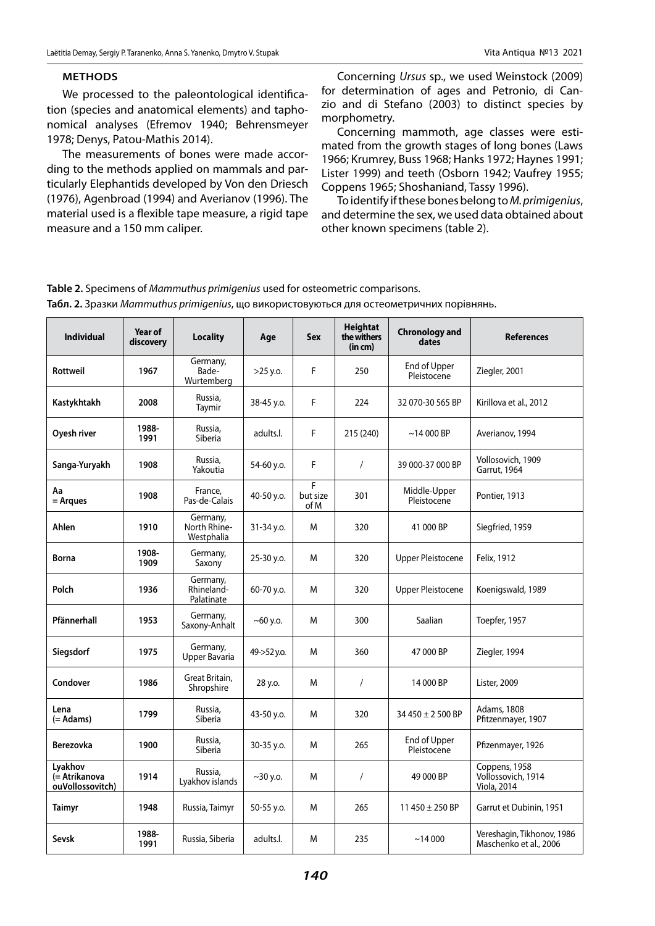#### **Methods**

We processed to the paleontological identification (species and anatomical elements) and taphonomical analyses (Efremov 1940; Behrensmeyer 1978; Denys, Patou-Mathis 2014).

The measurements of bones were made according to the methods applied on mammals and particularly Elephantids developed by Von den Driesch (1976), Agenbroad (1994) and Averianov (1996). The material used is a flexible tape measure, a rigid tape measure and a 150 mm caliper.

Concerning *Ursus* sp., we used Weinstock (2009) for determination of ages and Petronio, di Canzio and di Stefano (2003) to distinct species by morphometry.

Concerning mammoth, age classes were estimated from the growth stages of long bones (Laws 1966; Krumrey, Buss 1968; Hanks 1972; Haynes 1991; Lister 1999) and teeth (Osborn 1942; Vaufrey 1955; Coppens 1965; Shoshaniand, Tassy 1996).

To identify if these bones belong to *M. primigenius*, and determine the sex, we used data obtained about other known specimens (table 2).

| <b>Individual</b>                            | Year of<br>discovery | <b>Locality</b>                        | Age         | <b>Sex</b>            | <b>Heightat</b><br>the withers<br>(in cm) | <b>Chronology and</b><br>dates | <b>References</b>                                    |
|----------------------------------------------|----------------------|----------------------------------------|-------------|-----------------------|-------------------------------------------|--------------------------------|------------------------------------------------------|
| Rottweil                                     | 1967                 | Germany,<br>Bade-<br>Wurtemberg        | $>25$ y.o.  | F                     | 250                                       | End of Upper<br>Pleistocene    | Ziegler, 2001                                        |
| Kastykhtakh                                  | 2008                 | Russia.<br>Taymir                      | 38-45 y.o.  | F                     | 224                                       | 32 070-30 565 BP               | Kirillova et al., 2012                               |
| Oyesh river                                  | 1988-<br>1991        | Russia,<br>Siberia                     | adults.l.   | F                     | 215 (240)                                 | $~14000$ BP                    | Averianov, 1994                                      |
| Sanga-Yuryakh                                | 1908                 | Russia,<br>Yakoutia                    | 54-60 y.o.  | F                     | $\sqrt{2}$                                | 39 000-37 000 BP               | Vollosovich, 1909<br>Garrut, 1964                    |
| Aa<br>= Argues                               | 1908                 | France,<br>Pas-de-Calais               | 40-50 y.o.  | F<br>but size<br>of M | 301                                       | Middle-Upper<br>Pleistocene    | Pontier, 1913                                        |
| Ahlen                                        | 1910                 | Germany,<br>North Rhine-<br>Westphalia | 31-34 y.o.  | M                     | 320                                       | 41 000 BP                      | Siegfried, 1959                                      |
| <b>Borna</b>                                 | 1908-<br>1909        | Germany,<br>Saxony                     | 25-30 y.o.  | M                     | 320                                       | <b>Upper Pleistocene</b>       | Felix, 1912                                          |
| Polch                                        | 1936                 | Germany,<br>Rhineland-<br>Palatinate   | 60-70 y.o.  | M                     | 320                                       | <b>Upper Pleistocene</b>       | Koenigswald, 1989                                    |
| Pfännerhall                                  | 1953                 | Germany,<br>Saxony-Anhalt              | $~100$ y.o. | M                     | 300                                       | Saalian                        | Toepfer, 1957                                        |
| Siegsdorf                                    | 1975                 | Germany,<br>Upper Bavaria              | 49->52 y.o. | M                     | 360                                       | 47 000 BP                      | Ziegler, 1994                                        |
| Condover                                     | 1986                 | Great Britain,<br>Shropshire           | 28 y.o.     | M                     | $\sqrt{2}$                                | 14 000 BP                      | Lister, 2009                                         |
| Lena<br>(= Adams)                            | 1799                 | Russia,<br>Siberia                     | 43-50 y.o.  | M                     | 320                                       | 34 450 ± 2 500 BP              | Adams, 1808<br>Pfitzenmayer, 1907                    |
| Berezovka                                    | 1900                 | Russia,<br>Siberia                     | 30-35 y.o.  | M                     | 265                                       | End of Upper<br>Pleistocene    | Pfizenmayer, 1926                                    |
| Lyakhov<br>(= Atrikanova<br>ouVollossovitch) | 1914                 | Russia,<br>Lyakhov islands             | $~10$ y.o.  | M                     | $\prime$                                  | 49 000 BP                      | Coppens, 1958<br>Vollossovich, 1914<br>Viola, 2014   |
| <b>Taimyr</b>                                | 1948                 | Russia, Taimyr                         | 50-55 y.o.  | M                     | 265                                       | 11 450 $\pm$ 250 BP            | Garrut et Dubinin, 1951                              |
| Sevsk                                        | 1988-<br>1991        | Russia, Siberia                        | adults.l.   | M                     | 235                                       | ~14000                         | Vereshagin, Tikhonov, 1986<br>Maschenko et al., 2006 |

**Table 2.** Specimens of *Mammuthus primigenius* used for osteometric comparisons. **Табл. 2.** Зразки *Mammuthus primigenius*, що використовуються для остеометричних порівнянь.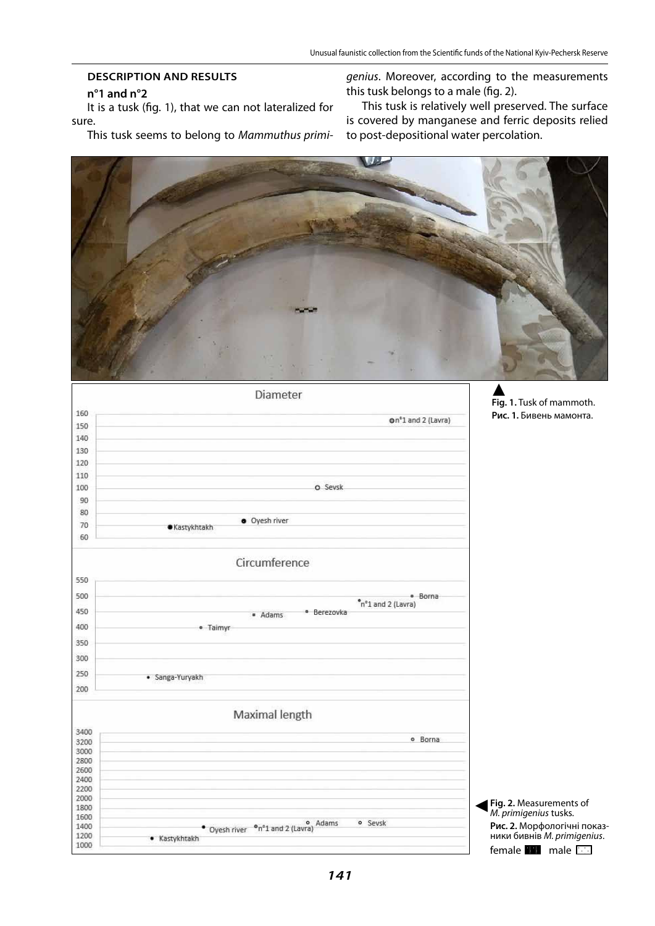# **Description and results**

### **n°1 and n°2**

It is a tusk (fig. 1), that we can not lateralized for sure.

This tusk seems to belong to *Mammuthus primi-*

*genius*. Moreover, according to the measurements this tusk belongs to a male (fig. 2).

This tusk is relatively well preserved. The surface is covered by manganese and ferric deposits relied to post-depositional water percolation.



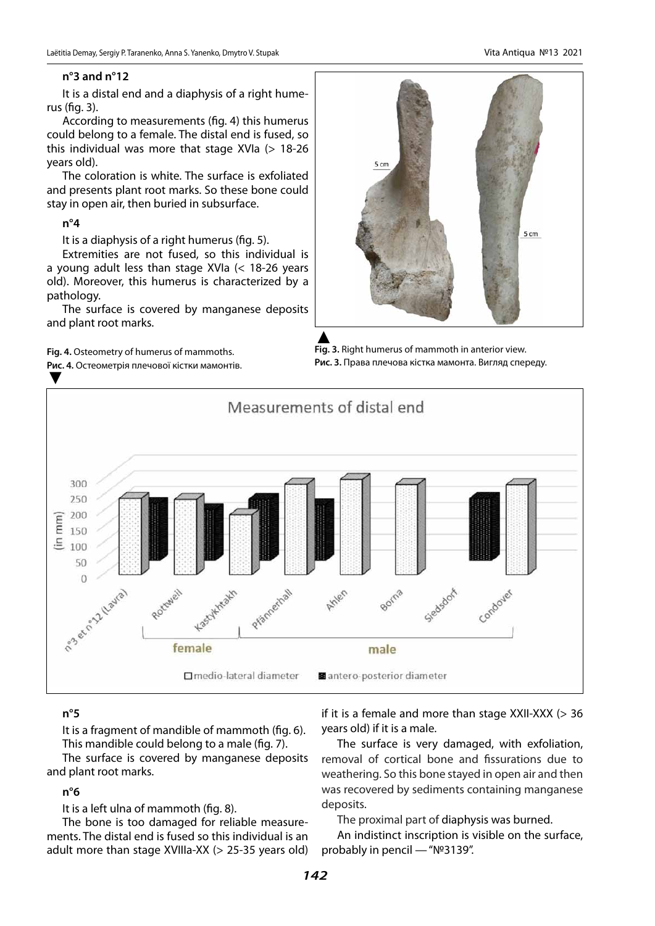## **n°3 and n°12**

It is a distal end and a diaphysis of a right humerus (fig. 3).

According to measurements (fig. 4) this humerus could belong to a female. The distal end is fused, so this individual was more that stage  $XVIa$  ( $> 18-26$ years old).

The coloration is white. The surface is exfoliated and presents plant root marks. So these bone could stay in open air, then buried in subsurface.

### **n°4**

It is a diaphysis of a right humerus (fig. 5).

Extremities are not fused, so this individual is a young adult less than stage XVIa (< 18-26 years old). Moreover, this humerus is characterized by a pathology.

The surface is covered by manganese deposits and plant root marks.

**Fig. 4.** Osteometry of humerus of mammoths.

**Рис. 4.** Остеометрія плечової кістки мамонтів. ▼

5 cm ▲<br>**Fig. 3.** Right humerus of mammoth in anterior view.

**Рис. 3.** Права плечова кістка мамонта. Вигляд спереду.



## **n°5**

It is a fragment of mandible of mammoth (fig. 6). This mandible could belong to a male (fig. 7).

The surface is covered by manganese deposits and plant root marks.

## **n°6**

It is a left ulna of mammoth (fig. 8).

The bone is too damaged for reliable measurements. The distal end is fused so this individual is an adult more than stage XVIIIa-XX (> 25-35 years old) if it is a female and more than stage  $XXII-XXX$  ( $> 36$ years old) if it is a male.

The surface is very damaged, with exfoliation, removal of cortical bone and fissurations due to weathering. So this bone stayed in open air and then was recovered by sediments containing manganese deposits.

The proximal part of diaphysis was burned.

An indistinct inscription is visible on the surface, probably in pencil — "№3139".



5 cm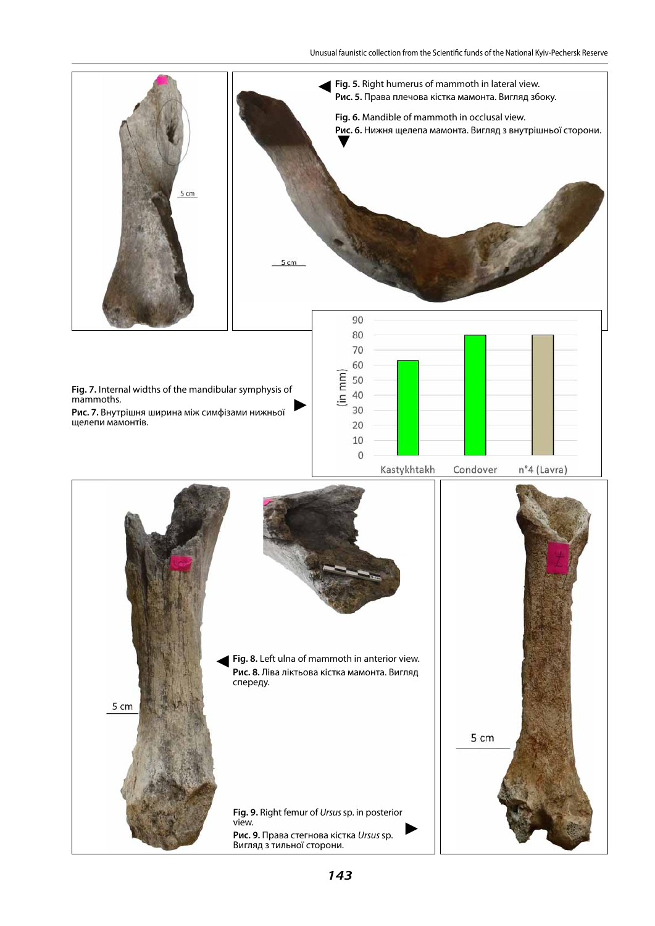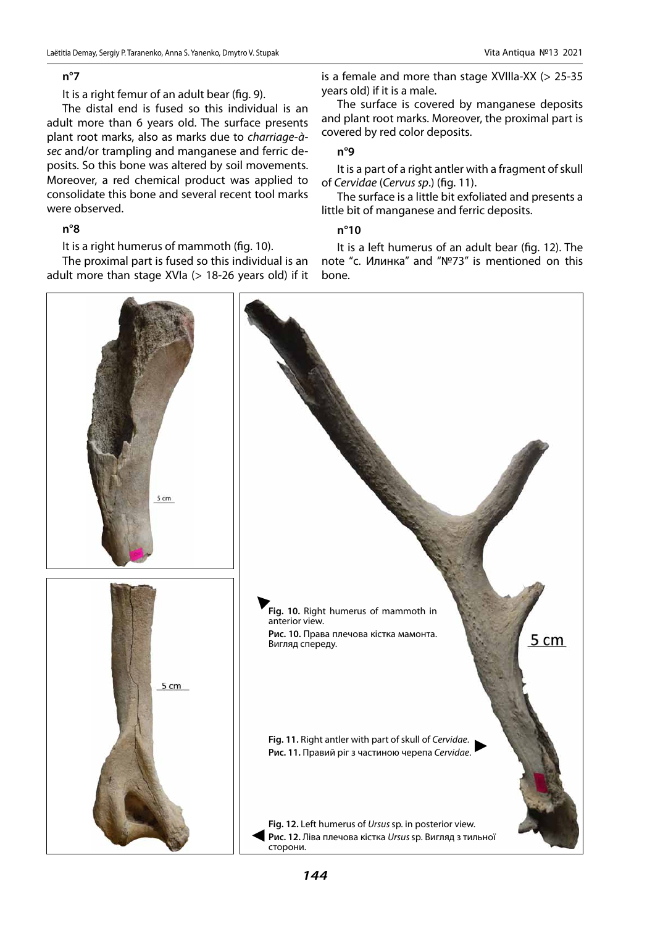### **n°7**

It is a right femur of an adult bear (fig. 9).

The distal end is fused so this individual is an adult more than 6 years old. The surface presents plant root marks, also as marks due to *charriage-àsec* and/or trampling and manganese and ferric deposits. So this bone was altered by soil movements. Moreover, a red chemical product was applied to consolidate this bone and several recent tool marks were observed.

### **n°8**

It is a right humerus of mammoth (fig. 10).

The proximal part is fused so this individual is an adult more than stage XVIa  $(> 18-26$  years old) if it

is a female and more than stage XVIIIa-XX (> 25-35 years old) if it is a male.

The surface is covered by manganese deposits and plant root marks. Moreover, the proximal part is covered by red color deposits.

### **n°9**

It is a part of a right antler with a fragment of skull of *Cervidae* (*Cervus sp*.) (fig. 11).

The surface is a little bit exfoliated and presents a little bit of manganese and ferric deposits.

### **n°10**

It is a left humerus of an adult bear (fig. 12). The note "с. Илинка" and "№73" is mentioned on this bone.

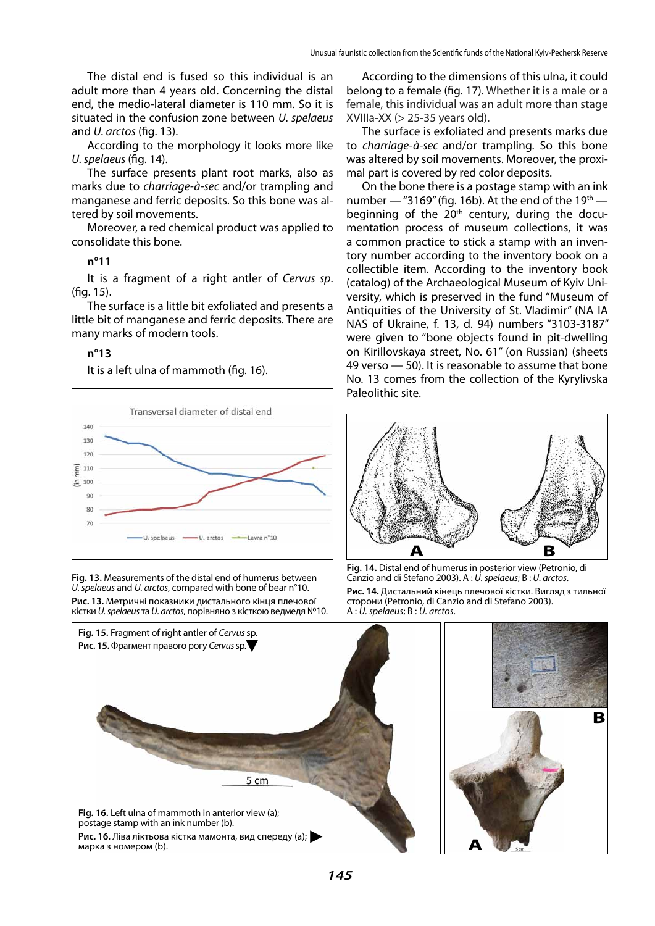The distal end is fused so this individual is an adult more than 4 years old. Concerning the distal end, the medio-lateral diameter is 110 mm. So it is situated in the confusion zone between *U. spelaeus* and *U. arctos* (fig. 13).

According to the morphology it looks more like *U. spelaeus* (fig. 14).

The surface presents plant root marks, also as marks due to *charriage-à-sec* and/or trampling and manganese and ferric deposits. So this bone was altered by soil movements.

Moreover, a red chemical product was applied to consolidate this bone.

### **n°11**

It is a fragment of a right antler of *Cervus sp*. (fig. 15).

The surface is a little bit exfoliated and presents a little bit of manganese and ferric deposits. There are many marks of modern tools.

### **n°13**

It is a left ulna of mammoth (fig. 16).



**Fig. 13.** Measurements of the distal end of humerus between *U. spelaeus* and *U. arctos*, compared with bone of bear n°10. **Рис. 13.** Метричні показники дистального кінця плечової кістки *U. spelaeus* та *U. arctos*, порівняно з кісткою ведмедя №10.

According to the dimensions of this ulna, it could belong to a female (fig. 17). Whether it is a male or a female, this individual was an adult more than stage  $XVIIIa-XX$  ( $> 25-35$  years old).

The surface is exfoliated and presents marks due to *charriage-à-sec* and/or trampling. So this bone was altered by soil movements. Moreover, the proximal part is covered by red color deposits.

On the bone there is a postage stamp with an ink number  $-$  "3169" (fig. 16b). At the end of the 19<sup>th</sup>  $$ beginning of the  $20<sup>th</sup>$  century, during the documentation process of museum collections, it was a common practice to stick a stamp with an inventory number according to the inventory book on a collectible item. According to the inventory book (catalog) of the Archaeological Museum of Kyiv University, which is preserved in the fund "Museum of Antiquities of the University of St. Vladimir" (NA IA NAS of Ukraine, f. 13, d. 94) numbers "3103-3187" were given to "bone objects found in pit-dwelling on Kirillovskaya street, No. 61" (on Russian) (sheets 49 verso — 50). It is reasonable to assume that bone No. 13 comes from the collection of the Kyrylivska Paleolithic site.



**Fig. 14.** Distal end of humerus in posterior view (Petronio, di Canzio and di Stefano 2003). A : *U. spelaeus*; B : *U. arctos*.

**Рис. 14.** Дистальний кінець плечової кістки. Вигляд з тильної сторони (Petronio, di Canzio and di Stefano 2003). A : *U. spelaeus*; B : *U. arctos*.

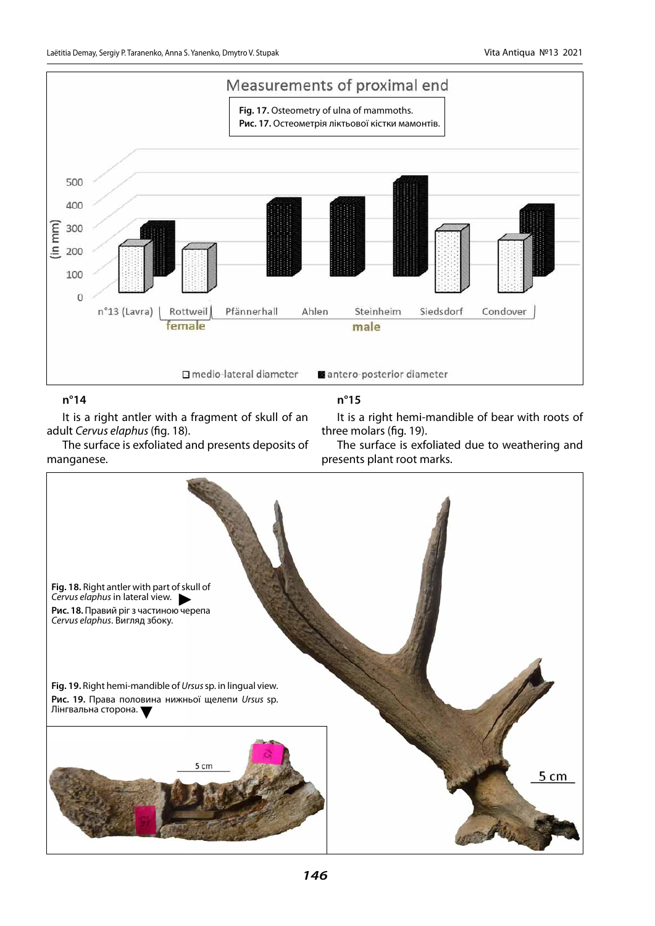

### **n°14**

It is a right antler with a fragment of skull of an adult *Cervus elaphus* (fig. 18).

The surface is exfoliated and presents deposits of manganese.

## **n°15**

It is a right hemi-mandible of bear with roots of three molars (fig. 19).

The surface is exfoliated due to weathering and presents plant root marks.

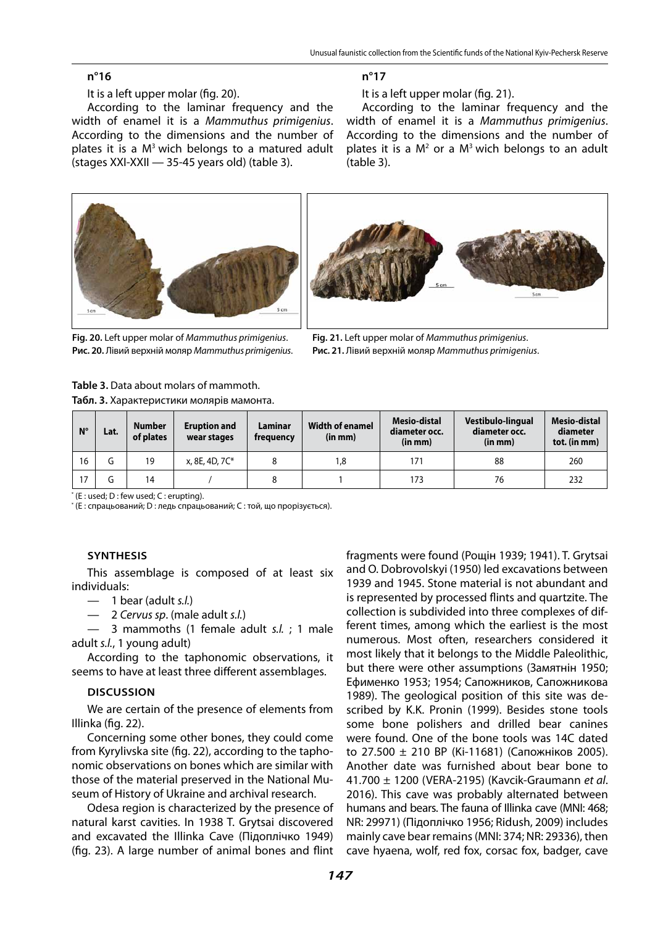#### **n°16**

It is a left upper molar (fig. 20).

According to the laminar frequency and the width of enamel it is a *Mammuthus primigenius*. According to the dimensions and the number of plates it is a  $M<sup>3</sup>$  wich belongs to a matured adult (stages XXI-XXII — 35-45 years old) (table 3).



It is a left upper molar (fig. 21).

According to the laminar frequency and the width of enamel it is a *Mammuthus primigenius*. According to the dimensions and the number of plates it is a  $M^2$  or a  $M^3$  wich belongs to an adult (table 3).



**Fig. 20.** Left upper molar of *Mammuthus primigenius*. **Рис. 20.** Лівий верхній моляр *Mammuthus primigenius*.

**Fig. 21.** Left upper molar of *Mammuthus primigenius*.

**Рис. 21.** Лівий верхній моляр *Mammuthus primigenius*.

| <b>Table 3.</b> Data about molars of mammoth. |
|-----------------------------------------------|
| Табл. 3. Характеристики молярів мамонта.      |

| $N^{\circ}$ | Lat. | <b>Number</b><br>of plates | <b>Eruption and</b><br>wear stages | Laminar<br>frequency | <b>Width of enamel</b><br>(in mm) | Mesio-distal<br>diameter occ.<br>(in mm) | Vestibulo-lingual<br>diameter occ.<br>(in mm) | Mesio-distal<br>diameter<br>tot. (in mm) |
|-------------|------|----------------------------|------------------------------------|----------------------|-----------------------------------|------------------------------------------|-----------------------------------------------|------------------------------------------|
| 16          | u    | 19                         | x, 8E, 4D, 7C*                     |                      | 8. ا                              | 171                                      | 88                                            | 260                                      |
| 17          | (٦   | 14                         |                                    |                      |                                   | 173                                      | 76                                            | 232                                      |

\* (E : used; D : few used; C : erupting).

\* (E : спрацьований; D : ледь спрацьований; C : той, що прорізується).

#### **Synthesis**

This assemblage is composed of at least six individuals:

- 1 bear (adult *s.l.*)
- 2 *Cervus sp*. (male adult *s.l.*)

— 3 mammoths (1 female adult *s.l.* ; 1 male adult *s.l.*, 1 young adult)

According to the taphonomic observations, it seems to have at least three different assemblages.

#### **Discussion**

We are certain of the presence of elements from Illinka (fig. 22).

Concerning some other bones, they could come from Kyrylivska site (fig. 22), according to the taphonomic observations on bones which are similar with those of the material preserved in the National Museum of History of Ukraine аnd archival research.

Odesa region is characterized by the presence of natural karst cavities. In 1938 T. Grytsai discovered and excavated the Illinka Cave (Підоплічко 1949) (fig. 23). A large number of animal bones and flint fragments were found (Рощін 1939; 1941). T. Grytsai and O. Dobrovolskyi (1950) led excavations between 1939 and 1945. Stone material is not abundant and is represented by processed flints and quartzite. The collection is subdivided into three complexes of different times, among which the earliest is the most numerous. Most often, researchers considered it most likely that it belongs to the Middle Paleolithic, but there were other assumptions (Замятнін 1950; Ефименко 1953; 1954; Сапожников, Сапожникова 1989). The geological position of this site was described by K.K. Pronin (1999). Besides stone tools some bone polishers and drilled bear canines were found. One of the bone tools was 14C dated to 27.500 ± 210 BP (Ki-11681) (Сапожнiков 2005). Another date was furnished about bear bone to 41.700 ± 1200 (VERA-2195) (Kavcik-Graumann *et al*. 2016). This cave was probably alternated between humans and bears. The fauna of Illinka cave (MNI: 468; NR: 29971) (Підоплічко 1956; Ridush, 2009) includes mainly cave bear remains (MNI: 374; NR: 29336), then cave hyaena, wolf, red fox, corsac fox, badger, cave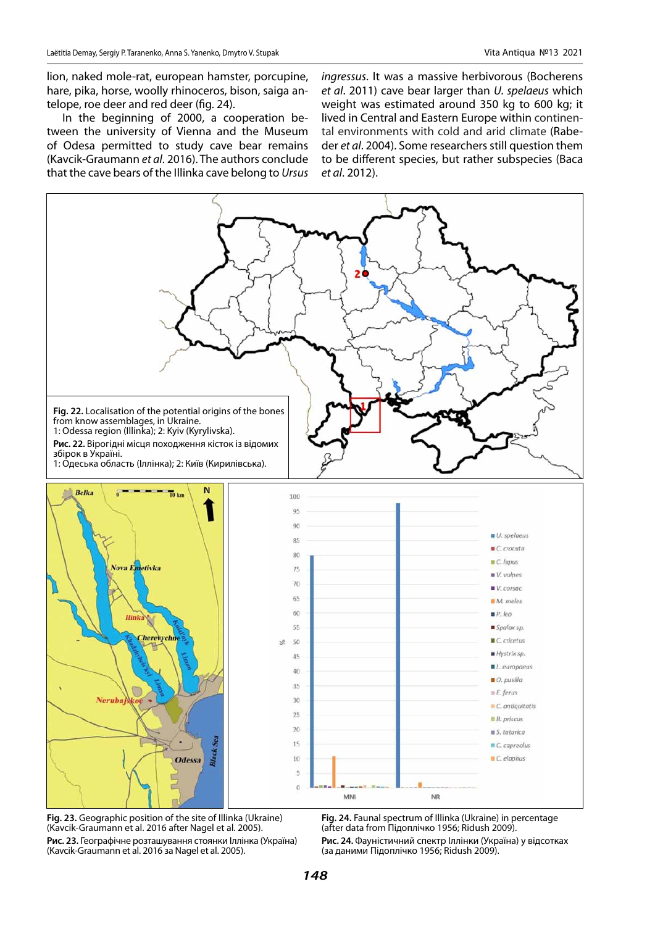lion, naked mole-rat, european hamster, porcupine, hare, pika, horse, woolly rhinoceros, bison, saiga antelope, roe deer and red deer (fig. 24).

In the beginning of 2000, a cooperation between the university of Vienna and the Museum of Odesa permitted to study cave bear remains (Kavcik-Graumann *et al*. 2016). The authors conclude that the cave bears of the Illinka cave belong to *Ursus*  *ingressus*. It was a massive herbivorous (Bocherens *et al*. 2011) cave bear larger than *U. spelaeus* which weight was estimated around 350 kg to 600 kg; it lived in Central and Eastern Europe within continental environments with cold and arid climate (Rabeder *et al*. 2004). Some researchers still question them to be different species, but rather subspecies (Baca *et al*. 2012).



**Fig. 23.** Geographic position of the site of Illinka (Ukraine) (Kavcik-Graumann et al. 2016 after Nagel et al. 2005). **Рис. 23.** Географічне розташування стоянки Іллінка (Україна) (Kavcik-Graumann et al. 2016 за Nagel et al. 2005).

**Fig. 24.** Faunal spectrum of Illinka (Ukraine) in percentage (after data from Підоплічко 1956; Ridush 2009).

**Рис. 24.** Фауністичний спектр Іллінки (Україна) у відсотках (за даними Підоплічко 1956; Ridush 2009).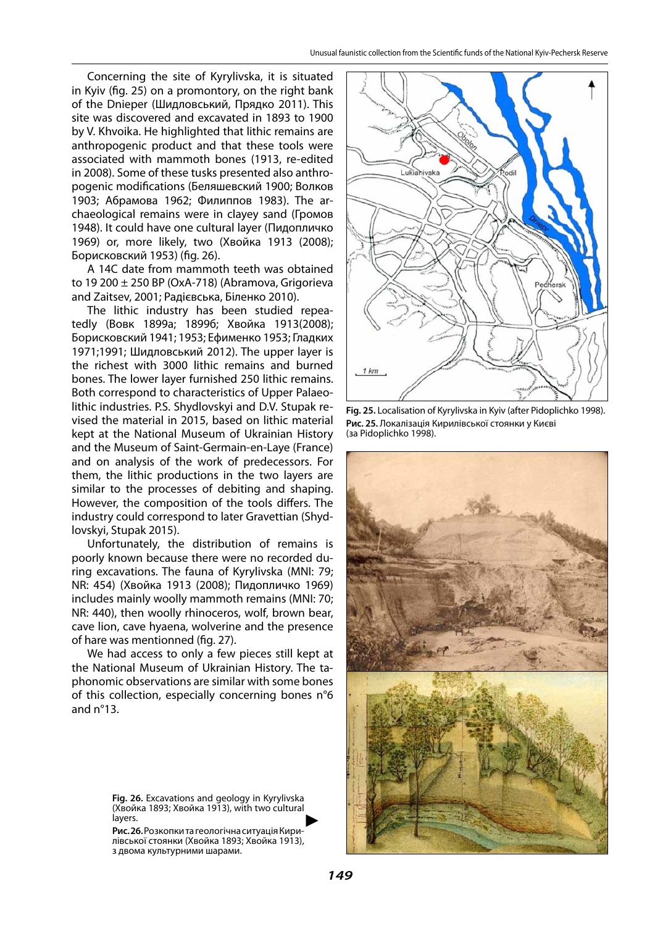Concerning the site of Kyrylivska, it is situated in Kyiv (fig. 25) on a promontory, on the right bank of the Dnieper (Шидловський, Прядко 2011). This site was discovered and excavated in 1893 to 1900 by V. Khvoika. He highlighted that lithic remains are anthropogenic product and that these tools were associated with mammoth bones (1913, re-edited in 2008). Some of these tusks presented also anthropogenic modifications (Беляшевский 1900; Волков 1903; Абрамова 1962; Филиппов 1983). The archaeological remains were in clayey sand (Громов 1948). It could have one cultural layer (Пидопличко 1969) or, more likely, two (Хвойка 1913 (2008); Борисковский 1953) (fig. 26).

A 14C date from mammoth teeth was obtained to 19 200 ± 250 BP (OxA-718) (Abramova, Grigorieva and Zaitsev, 2001; Радієвська, Біленко 2010).

The lithic industry has been studied repeatedly (Вовк 1899a; 1899б; Хвойка 1913(2008); Борисковский 1941; 1953; Ефименко 1953; Гладких 1971;1991; Шидловський 2012). The upper layer is the richest with 3000 lithic remains and burned bones. The lower layer furnished 250 lithic remains. Both correspond to characteristics of Upper Palaeolithic industries. P.S. Shydlovskyi and D.V. Stupak revised the material in 2015, based on lithic material kept at the National Museum of Ukrainian History and the Museum of Saint-Germain-en-Laye (France) and on analysis of the work of predecessors. For them, the lithic productions in the two layers are similar to the processes of debiting and shaping. However, the composition of the tools differs. The industry could correspond to later Gravettian (Shydlovskyi, Stupak 2015).

Unfortunately, the distribution of remains is poorly known because there were no recorded during excavations. The fauna of Kyrylivska (MNI: 79; NR: 454) (Хвойка 1913 (2008); Пидопличко 1969) includes mainly woolly mammoth remains (MNI: 70; NR: 440), then woolly rhinoceros, wolf, brown bear, cave lion, cave hyaena, wolverine and the presence of hare was mentionned (fig. 27).

We had access to only a few pieces still kept at the National Museum of Ukrainian History. The taphonomic observations are similar with some bones of this collection, especially concerning bones n°6 and n°13.

> **Fig. 26.** Excavations and geology in Kyrylivska (Хвойка 1893; Хвойка 1913), with two cultural layers. ►

**Рис. 26.** Розкопки та геологічна ситуація Кирилівської стоянки (Хвойка 1893; Хвойка 1913), з двома культурними шарами.



**Fig. 25.** Localisation of Kyrylivska in Kyiv (after Pidoplichko 1998). **Рис. 25.** Локалізація Кирилівської стоянки у Києві (за Pidoplichko 1998).

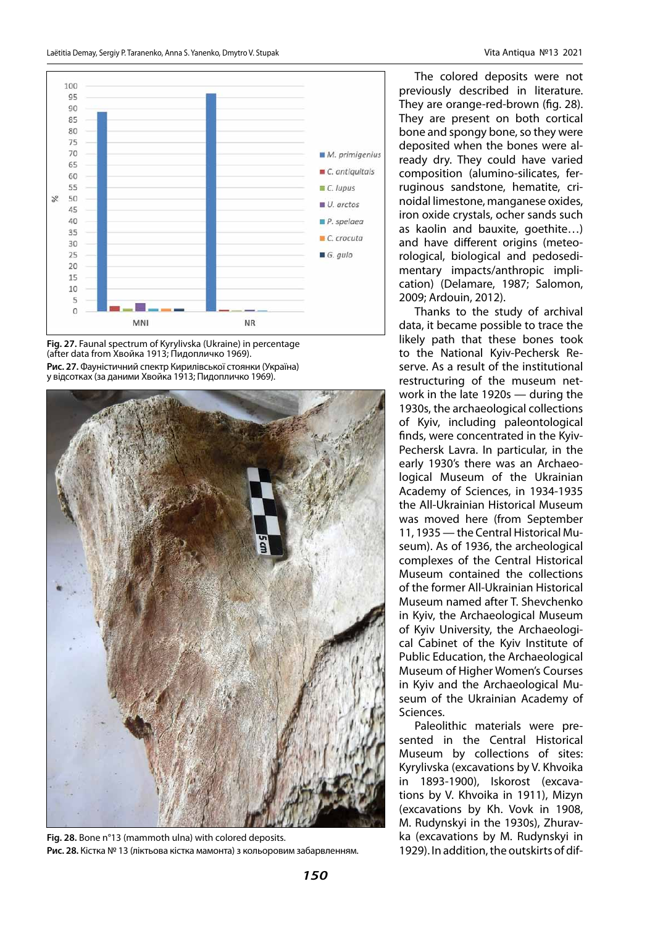

**Fig. 27.** Faunal spectrum of Kyrylivska (Ukraine) in percentage (after data from Хвойка 1913; Пидопличко 1969). **Рис. 27.** Фауністичний спектр Кирилівської стоянки (Україна) у відсотках (за даними Хвойка 1913; Пидопличко 1969).



**Fig. 28.** Bone n°13 (mammoth ulna) with colored deposits. **Рис. 28.** Кістка № 13 (ліктьова кістка мамонта) з кольоровим забарвленням.

The colored deposits were not previously described in literature. They are orange-red-brown (fig. 28). They are present on both cortical bone and spongy bone, so they were deposited when the bones were already dry. They could have varied composition (alumino-silicates, ferruginous sandstone, hematite, crinoidal limestone, manganese oxides, iron oxide crystals, ocher sands such as kaolin and bauxite, goethite…) and have different origins (meteorological, biological and pedosedimentary impacts/anthropic implication) (Delamare, 1987; Salomon, 2009; Ardouin, 2012).

Thanks to the study of archival data, it became possible to trace the likely path that these bones took to the National Kyiv-Pechersk Reserve. As a result of the institutional restructuring of the museum network in the late 1920s — during the 1930s, the archaeological collections of Kyiv, including paleontological finds, were concentrated in the Kyiv-Pechersk Lavra. In particular, in the early 1930's there was an Archaeological Museum of the Ukrainian Academy of Sciences, in 1934-1935 the All-Ukrainian Historical Museum was moved here (from September 11, 1935 — the Central Historical Museum). As of 1936, the archeological complexes of the Central Historical Museum contained the collections of the former All-Ukrainian Historical Museum named after T. Shevchenko in Kyiv, the Archaeological Museum of Kyiv University, the Archaeological Cabinet of the Kyiv Institute of Public Education, the Archaeological Museum of Higher Women's Courses in Kyiv and the Archaeological Museum of the Ukrainian Academy of Sciences.

Paleolithic materials were presented in the Central Historical Museum by collections of sites: Kyrylivska (excavations by V. Khvoika in 1893-1900), Iskorost (excavations by V. Khvoika in 1911), Mizyn (excavations by Kh. Vovk in 1908, M. Rudynskyi in the 1930s), Zhuravka (excavations by M. Rudynskyi in 1929). In addition, the outskirts of dif-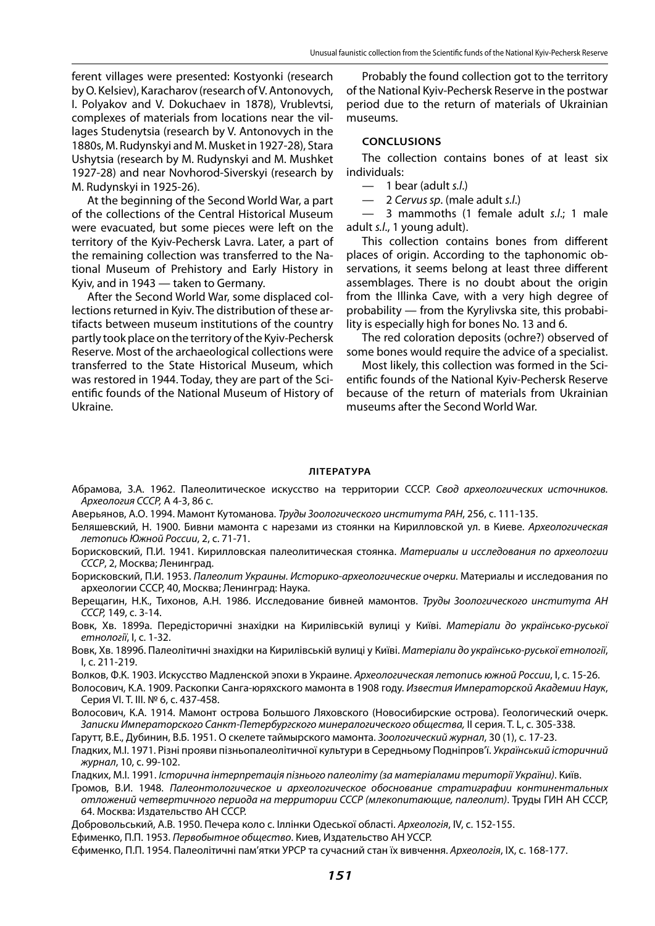ferent villages were presented: Kostyonki (research by O. Kelsiev), Karacharov (research of V. Antonovych, I. Polyakov and V. Dokuchaev in 1878), Vrublevtsi, complexes of materials from locations near the villages Studenytsia (research by V. Antonovych in the 1880s, M. Rudynskyi and M. Musket in 1927-28), Stara Ushytsia (research by M. Rudynskyi and M. Mushket 1927-28) and near Novhorod-Siverskyi (research by M. Rudynskyi in 1925-26).

At the beginning of the Second World War, a part of the collections of the Central Historical Museum were evacuated, but some pieces were left on the territory of the Kyiv-Pechersk Lavra. Later, a part of the remaining collection was transferred to the National Museum of Prehistory and Early History in Kyiv, and in 1943 — taken to Germany.

After the Second World War, some displaced collections returned in Kyiv. The distribution of these artifacts between museum institutions of the country partly took place on the territory of the Kyiv-Pechersk Reserve. Most of the archaeological collections were transferred to the State Historical Museum, which was restored in 1944. Today, they are part of the Scientific founds of the National Museum of History of Ukraine.

Probably the found collection got to the territory of the National Kyiv-Pechersk Reserve in the postwar period due to the return of materials of Ukrainian museums.

#### **Conclusions**

The collection contains bones of at least six individuals:

- 1 bear (adult *s.l*.)
- 2 *Cervus sp*. (male adult *s.l*.)

— 3 mammoths (1 female adult *s.l*.; 1 male adult *s.l*., 1 young adult).

This collection contains bones from different places of origin. According to the taphonomic observations, it seems belong at least three different assemblages. There is no doubt about the origin from the Illinka Cave, with a very high degree of probability — from the Kyrylivska site, this probability is especially high for bones No. 13 and 6.

The red coloration deposits (ochre?) observed of some bones would require the advice of a specialist.

Most likely, this collection was formed in the Scientific founds of the National Kyiv-Pechersk Reserve because of the return of materials from Ukrainian museums after the Second World War.

#### **Література**

- Абрамова, З.А. 1962. Палеолитическое искусство на территории СССР. *Свод археологических источников. Археология СССР,* А 4-3, 86 с.
- Аверьянов, А.О. 1994. Мамонт Кутоманова. *Труды Зоологического института РАН*, 256, с. 111-135.
- Беляшевский, Н. 1900. Бивни мамонта с нарезами из стоянки на Кирилловской ул. в Киеве. *Археологическая летопись Южной России*, 2, с. 71-71.
- Борисковский, П.И. 1941. Кирилловская палеолитическая стоянка. *Материалы и исследования по археологии СССР*, 2, Москва; Ленинград.
- Борисковский, П.И. 1953. *Палеолит Украины. Историко-археологические очерки.* Материалы и исследования по археологии СССР, 40, Москва; Ленинград: Наука.
- Верещагин, Н.К., Тихонов, А.Н. 1986. Исследование бивней мамонтов. *Труды Зоологического института АН СССР,* 149, с. 3-14.
- Вовк, Хв. 1899а. Передісторичні знахідки на Кирилівській вулиці у Київі. *Матеріали до українсько-руської етнології*, I, c. 1-32.
- Вовк, Хв. 1899б. Палеолітичні знахідки на Кирилівській вулиці у Київі. *Матеріали до українсько-руської етнології*, I, c. 211-219.
- Волков, Ф.К. 1903. Искусство Мадленской эпохи в Украине. *Археологическая летопись южной России*, І, с. 15-26.
- Волосович, К.А. 1909. Раскопки Санга-юряхского мамонта в 1908 году. *Известия Императорской Академии Наук*, Серия VI. Т. III. № 6, с. 437-458.
- Волосович, К.А. 1914. Мамонт острова Большого Ляховского (Новосибирские острова). Геологический очерк. *Записки Императорского Санкт-Петербургского минералогического общества,* II серия. T. L, с. 305-338.

Гарутт, В.Е., Дубинин, В.Б. 1951. О скелете таймырского мамонта. *Зоологический журнал*, 30 (1), с. 17-23.

- Гладких, М.І. 1971. Різні прояви пізньопалеолітичної культури в Середньому Подніпров'ї. *Український історичний журнал*, 10, с. 99-102.
- Гладких, М.І. 1991. *Історична інтерпретація пізнього палеоліту (за матеріалами території України)*. Київ.
- Громов, В.И. 1948. *Палеонтологическое и археологическое обоснование стратиграфии континентальных отложений четвертичного периода на территории СССР (млекопитающие, палеолит)*. Труды ГИН АН СССР, 64. Москва: Издательство АН СССР.
- Добровольський, А.В. 1950. Печера коло с. Іллінки Одеської області. *Археологія*, IV, с. 152-155.
- Ефименко, П.П. 1953. *Первобытное общество*. Киев, Издательство АН УССР.
- Єфименко, П.П. 1954. Палеолітичні пам'ятки УРСР та сучасний стан їх вивчення. *Археологія*, IX, с. 168-177.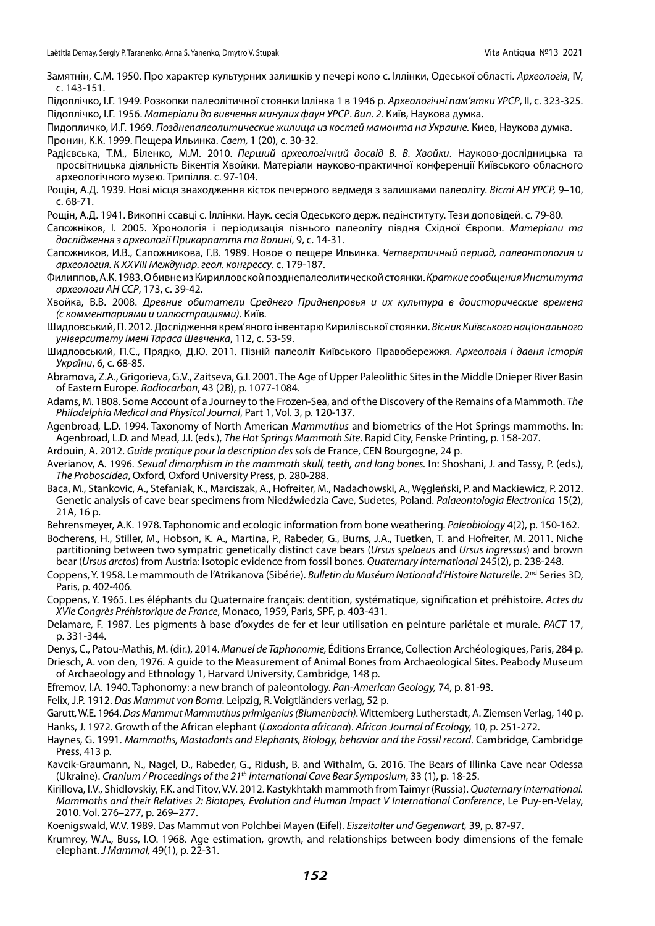Замятнін, С.М. 1950. Про характер культурних залишків у печері коло с. Іллінки, Одеської області. *Археологія*, IV, с. 143-151.

Підоплічко, І.Г. 1949. Розкопки палеолітичної стоянки Іллінка 1 в 1946 р. *Археологічні пам'ятки УРСР*, II, с. 323-325. Підоплічко, І.Г. 1956. *Матеріали до вивчення минулих фаун УРСР*. *Вип. 2.* Київ, Наукова думка.

Пидопличко, И.Г. 1969. *Позднепалеолитические жилища из костей мамонта на Украине.* Киев, Наукова думка. Пронин, К.К. 1999. Пещера Ильинка. *Свет,* 1 (20), с. 30-32.

Радієвська, Т.М., Біленко, М.М. 2010. *Перший археологічний досвід В. В. Хвойки*. Науково-дослідницька та просвітницька діяльність Вікентія Хвойки. Матеріали науково-практичної конференції Київського обласного археологічного музею. Трипілля. c. 97-104.

Рощін, А.Д. 1939. Нові місця знаходження кісток печерного ведмедя з залишками палеоліту. *Вісті АН УРСР,* 9–10, с. 68-71.

Рощін, А.Д. 1941. Викопні ссавці с. Іллінки. Наук. сесія Одеського держ. педінституту. Тези доповідей. с. 79-80.

- Сапожніков, І. 2005. Хронологія і періодизація пізнього палеоліту півдня Східної Європи. *Матеріали та дослідження з археології Прикарпаття та Волині*, 9, с. 14-31.
- Сапожников, И.В., Сапожникова, Г.В. 1989. Новое о пещере Ильинка. *Четвертичный период, палеонтология и археология. К XXVIII Междунар. геол. конгрессу*. с. 179-187.

Филиппов, А.К. 1983. О бивне из Кирилловской позднепалеолитической стоянки. *Краткие сообщения Института археологи АН ССР*, 173, с. 39-42.

Хвойка, В.В. 2008. *Древние обитатели Среднего Приднепровья и их культура в доисторические времена (с комментариями и иллюстрациями).* Київ.

Шидловський, П. 2012. Дослідження крем'яного інвентарю Кирилівської стоянки. *Вісник Київського національного університету імені Тараса Шевченка*, 112, с. 53-59.

Шидловський, П.С., Прядко, Д.Ю. 2011. Пізній палеоліт Київського Правобережжя. *Археологія і давня історія України*, 6, с. 68-85.

Abramova, Z.A., Grigorieva, G.V., Zaitseva, G.I. 2001. The Age of Upper Paleolithic Sites in the Middle Dnieper River Basin of Eastern Europe. *Radiocarbon*, 43 (2B), p. 1077-1084.

Adams, M. 1808. Some Account of a Journey to the Frozen-Sea, and of the Discovery of the Remains of a Mammoth. *The Philadelphia Medical and Physical Journal*, Part 1, Vol. 3, p. 120-137.

Agenbroad, L.D. 1994. Taxonomy of North American *Mammuthus* and biometrics of the Hot Springs mammoths. In: Agenbroad, L.D. and Mead, J.I. (eds.), *The Hot Springs Mammoth Site*. Rapid City, Fenske Printing, p. 158-207.

Ardouin, A. 2012. *Guide pratique pour la description des sols* de France, CEN Bourgogne, 24 p.

Averianov, A. 1996. *Sexual dimorphism in the mammoth skull, teeth, and long bones.* In: Shoshani, J. and Tassy, P. (eds.), *The Proboscidea*, Oxford*,* Oxford University Press, p. 280-288.

Baca, M., Stankovic, A., Stefaniak, K., Marciszak, A., Hofreiter, M., Nadachowski, A., Węgleński, P. and Mackiewicz, P. 2012. Genetic analysis of cave bear specimens from Niedźwiedzia Cave, Sudetes, Poland. *Palaeontologia Electronica* 15(2), 21A, 16 p.

Behrensmeyer, A.K. 1978. Taphonomic and ecologic information from bone weathering. *Paleobiology* 4(2), p. 150-162.

Bocherens, H., Stiller, M., Hobson, K. A., Martina, P., Rabeder, G., Burns, J.A., Tuetken, T. and Hofreiter, M. 2011. Niche partitioning between two sympatric genetically distinct cave bears (*Ursus spelaeus* and *Ursus ingressus*) and brown bear (*Ursus arctos*) from Austria: Isotopic evidence from fossil bones. *Quaternary International* 245(2), p. 238-248.

Coppens, Y. 1958. Le mammouth de l'Atrikanova (Sibérie). *Bulletin du Muséum National d'Histoire Naturelle*. 2<sup>nd</sup> Series 3D, Paris, p. 402-406.

Coppens, Y. 1965. Les éléphants du Quaternaire français: dentition, systématique, signification et préhistoire. *Actes du XVIe Congrès Préhistorique de France*, Monaco, 1959, Paris, SPF, p. 403-431.

Delamare, F. 1987. Les pigments à base d'oxydes de fer et leur utilisation en peinture pariétale et murale. *PACT* 17, p. 331-344.

Denys, C., Patou-Mathis, M. (dir.), 2014. *Manuel de Taphonomie,* Éditions Errance, Collection Archéologiques, Paris, 284 p. Driesch, A. von den, 1976. A guide to the Measurement of Animal Bones from Archaeological Sites. Peabody Museum of Archaeology and Ethnology 1, Harvard University, Cambridge, 148 p.

Efremov, I.A. 1940. Taphonomy: a new branch of paleontology. *Pan-American Geology,* 74, p. 81-93.

Felix, J.P. 1912. *Das Mammut von Borna*. Leipzig, R. Voigtländers verlag, 52 p.

Garutt, W.E. 1964. *Das Mammut Mammuthus primigenius (Blumenbach)*. Wittemberg Lutherstadt, A. Ziemsen Verlag, 140 p. Hanks, J. 1972. Growth of the African elephant (*Loxodonta africana*). *African Journal of Ecology,* 10, p. 251-272.

- Haynes, G. 1991. *Mammoths, Mastodonts and Elephants, Biology, behavior and the Fossil record*. Cambridge, Cambridge Press, 413 p.
- Kavcik-Graumann, N., Nagel, D., Rabeder, G., Ridush, B. and Withalm, G. 2016. The Bears of Illinka Cave near Odessa (Ukraine). *Cranium / Proceedings of the 21th International Cave Bear Symposium*, 33 (1), p. 18-25.
- Kirillova, I.V., Shidlovskiy, F.K. and Titov, V.V. 2012. Kastykhtakh mammoth from Taimyr (Russia). *Quaternary International. Mammoths and their Relatives 2: Biotopes, Evolution and Human Impact V International Conference*, Le Puy-en-Velay, 2010. Vol. 276–277, p. 269–277.

Koenigswald, W.V. 1989. Das Mammut von Polchbei Mayen (Eifel). *Eiszeitalter und Gegenwart,* 39, p. 87-97.

Krumrey, W.A., Buss, I.O. 1968. Age estimation, growth, and relationships between body dimensions of the female elephant. *J Mammal,* 49(1), p. 22-31.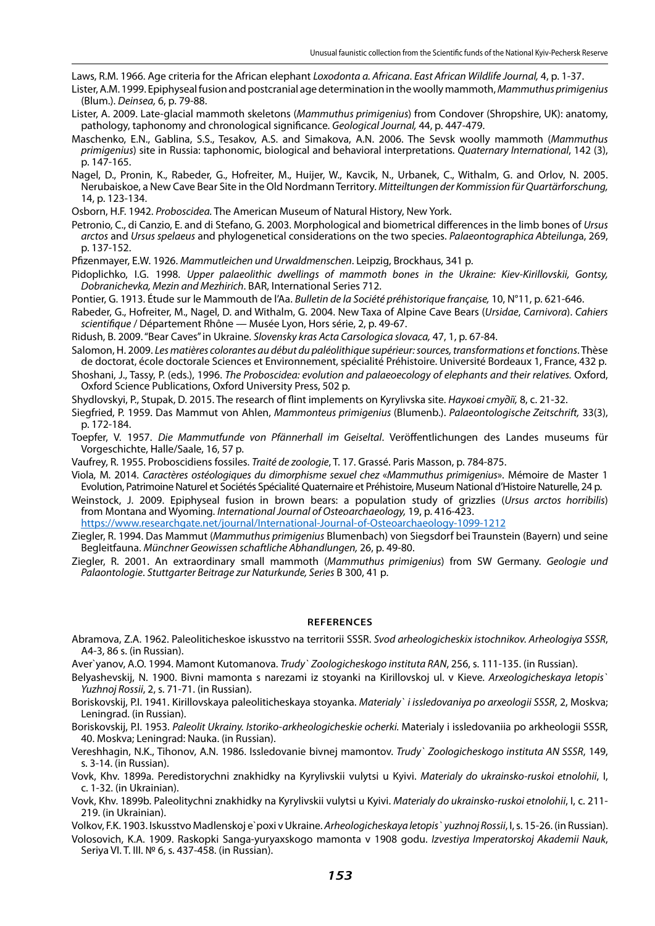Laws, R.M. 1966. Age criteria for the African elephant *Loxodonta a. Africana*. *East African Wildlife Journal,* 4, p. 1-37.

- Lister, A.M. 1999. Epiphyseal fusion and postcranial age determination in the woolly mammoth, *Mammuthus primigenius* (Blum.). *Deinsea,* 6, p. 79-88.
- Lister, A. 2009. Late-glacial mammoth skeletons (*Mammuthus primigenius*) from Condover (Shropshire, UK): anatomy, pathology, taphonomy and chronological significance. *Geological Journal,* 44, p. 447-479.
- Maschenko, E.N., Gablina, S.S., Tesakov, A.S. and Simakova, A.N. 2006. The Sevsk woolly mammoth (*Mammuthus primigenius*) site in Russia: taphonomic, biological and behavioral interpretations. *Quaternary International*, 142 (3), p. 147-165.
- Nagel, D., Pronin, K., Rabeder, G., Hofreiter, M., Huijer, W., Kavcik, N., Urbanek, C., Withalm, G. and Orlov, N. 2005. Nerubaiskoe, a New Cave Bear Site in the Old Nordmann Territory. *Mitteiltungen der Kommission für Quartärforschung,* 14, p. 123-134.
- Osborn, H.F. 1942. *Proboscidea.* The American Museum of Natural History, New York.
- Petronio, C., di Canzio, E. and di Stefano, G. 2003. Morphological and biometrical differences in the limb bones of *Ursus arctos* and *Ursus spelaeus* and phylogenetical considerations on the two species. *Palaeontographica Abteilung*a, 269, p. 137-152.
- Pfizenmayer, E.W. 1926. *Mammutleichen und Urwaldmenschen*. Leipzig, Brockhaus, 341 p.
- Pidoplichko, I.G. 1998. *Upper palaeolithic dwellings of mammoth bones in the Ukraine: Kiev-Kirillovskii, Gontsy, Dobranichevka, Mezin and Mezhirich*. BAR, International Series 712.
- Pontier, G. 1913. Étude sur le Mammouth de l'Aa. *Bulletin de la Société préhistorique française,* 10, N°11, p. 621-646.
- Rabeder, G., Hofreiter, M., Nagel, D. and Withalm, G. 2004. New Taxa of Alpine Cave Bears (*Ursidae*, *Carnivora*). *Cahiers scientifique* / Département Rhône — Musée Lyon, Hors série, 2, p. 49-67.
- Ridush, B. 2009. "Bear Caves" in Ukraine. *Slovensky kras Acta Carsologica slovaca,* 47, 1, p. 67-84.
- Salomon, H. 2009. *Les matières colorantes au début du paléolithique supérieur: sources, transformations et fonctions*. Thèse de doctorat, école doctorale Sciences et Environnement, spécialité Préhistoire. Université Bordeaux 1, France, 432 p.
- Shoshani, J., Tassy, P. (eds.), 1996. *The Proboscidea: evolution and palaeoecology of elephants and their relatives.* Oxford, Oxford Science Publications, Oxford University Press, 502 p.
- Shydlovskyi, P., Stupak, D. 2015. The research of flint implements on Kyrylivska site. *Наукові студії,* 8, с. 21-32.
- Siegfried, P. 1959. Das Mammut von Ahlen, *Mammonteus primigenius* (Blumenb.). *Palaeontologische Zeitschrift,* 33(3), p. 172-184.
- Toepfer, V. 1957. *Die Mammutfunde von Pfännerhall im Geiseltal*. Veröffentlichungen des Landes museums für Vorgeschichte, Halle/Saale, 16, 57 p.
- Vaufrey, R. 1955. Proboscidiens fossiles. *Traité de zoologie*, T. 17. Grassé. Paris Masson, p. 784-875.
- Viola, M. 2014. *Caractères ostéologiques du dimorphisme sexuel chez* «*Mammuthus primigenius*». Mémoire de Master 1 Evolution, Patrimoine Naturel et Sociétés Spécialité Quaternaire et Préhistoire, Museum National d'Histoire Naturelle, 24 p.
- Weinstock, J. 2009. Epiphyseal fusion in brown bears: a population study of grizzlies (*Ursus arctos horribilis*) from Montana and Wyoming. *International Journal of Osteoarchaeology,* 19, p. 416-423. <https://www.researchgate.net/journal/International-Journal-of-Osteoarchaeology-1099-1212>
- Ziegler, R. 1994. Das Mammut (*Mammuthus primigenius* Blumenbach) von Siegsdorf bei Traunstein (Bayern) und seine Begleitfauna. *Münchner Geowissen schaftliche Abhandlungen,* 26, p. 49-80.
- Ziegler, R. 2001. An extraordinary small mammoth (*Mammuthus primigenius*) from SW Germany. *Geologie und Palaontologie*. *Stuttgarter Beitrage zur Naturkunde, Series* B 300, 41 p.

#### **References**

- Abramova, Z.A. 1962. Paleoliticheskoe iskusstvo na territorii SSSR. *Svod arheologicheskix istochnikov. Arheologiya SSSR*, A4-3, 86 s. (in Russian).
- Aver`yanov, A.O. 1994. Mamont Kutomanova. *Trudy` Zoologicheskogo instituta RAN*, 256, s. 111-135. (in Russian).
- Belyashevskij, N. 1900. Bivni mamonta s narezami iz stoyanki na Kirillovskoj ul. v Kieve. *Arxeologicheskaya letopis` Yuzhnoj Rossii*, 2, s. 71-71. (in Russian).
- Boriskovskij, P.I. 1941. Kirillovskaya paleoliticheskaya stoyanka. *Materialy` i issledovaniya po arxeologii SSSR*, 2, Moskva; Leningrad. (in Russian).
- Boriskovskij, P.I. 1953. *Paleolit Ukrainy. Istoriko-arkheologicheskie ocherki.* Materialy i issledovaniia po arkheologii SSSR, 40. Moskva; Leningrad: Nauka. (in Russian).
- Vereshhagin, N.K., Tihonov, A.N. 1986. Issledovanie bivnej mamontov. *Trudy` Zoologicheskogo instituta AN SSSR*, 149, s. 3-14. (in Russian).
- Vovk, Khv. 1899a. Peredistorychni znakhidky na Kyrylivskii vulytsi u Kyivi. *Materialy do ukrainsko-ruskoi etnolohii*, I, c. 1-32. (in Ukrainian).
- Vovk, Khv. 1899b. Paleolitychni znakhidky na Kyrylivskii vulytsi u Kyivi. *Materialy do ukrainsko-ruskoi etnolohii*, I, c. 211- 219. (in Ukrainian).
- Volkov, F.K. 1903. Iskusstvo Madlenskoj e`poxi v Ukraine. *Arheologicheskaya letopis` yuzhnoj Rossii*, І, s. 15-26. (in Russian).
- Volosovich, K.A. 1909. Raskopki Sanga-yuryaxskogo mamonta v 1908 godu. *Izvestiya Imperatorskoj Akademii Nauk*, Seriya VI. T. III. № 6, s. 437-458. (in Russian).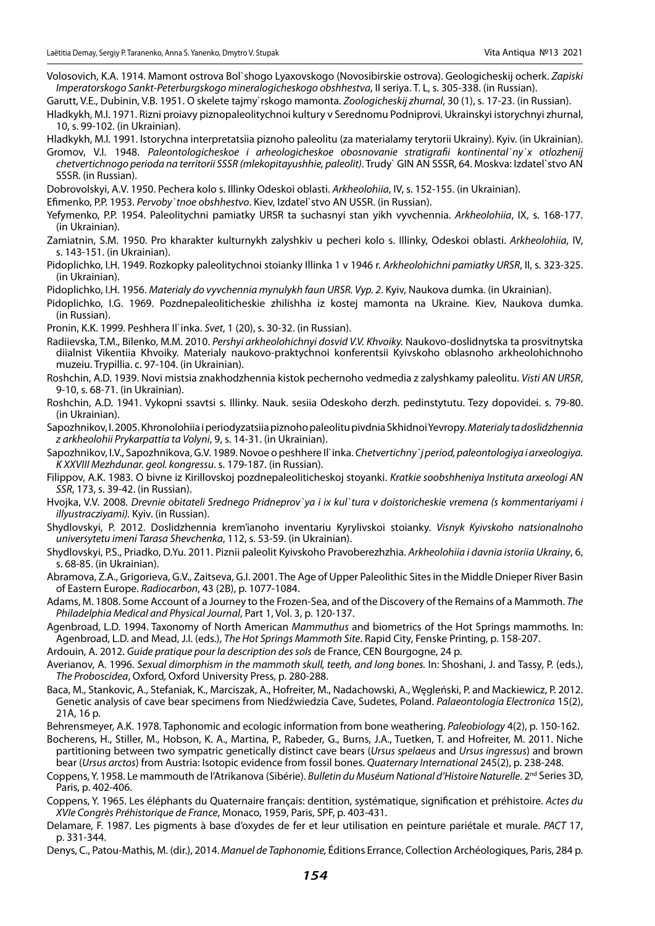Volosovich, K.A. 1914. Mamont ostrova Bol`shogo Lyaxovskogo (Novosibirskie ostrova). Geologicheskij ocherk. *Zapiski Imperatorskogo Sankt-Peterburgskogo mineralogicheskogo obshhestva*, II seriya. T. L, s. 305-338. (in Russian).

Garutt, V.E., Dubinin, V.B. 1951. O skelete tajmy`rskogo mamonta. *Zoologicheskij zhurnal*, 30 (1), s. 17-23. (in Russian).

Hladkykh, M.I. 1971. Rizni proiavy piznopaleolitychnoi kultury v Serednomu Podniprovi. Ukrainskyi istorychnyi zhurnal, 10, s. 99-102. (in Ukrainian).

Hladkykh, M.I. 1991. Istorychna interpretatsiia piznoho paleolitu (za materialamy terytorii Ukrainy). Kyiv. (in Ukrainian).

Gromov, V.I. 1948. *Paleontologicheskoe i arheologicheskoe obosnovanie stratigrafii kontinental`ny`x otlozhenij chetvertichnogo perioda na territorii SSSR (mlekopitayushhie, paleolit)*. Trudy` GIN AN SSSR, 64. Moskva: Izdatel`stvo AN SSSR. (in Russian).

Dobrovolskyi, A.V. 1950. Pechera kolo s. Illinky Odeskoi oblasti. *Arkheolohiia*, IV, s. 152-155. (in Ukrainian).

Efimenko, P.P. 1953. *Pervoby`tnoe obshhestvo*. Kiev, Izdatel`stvo AN USSR. (in Russian).

- Yefymenko, P.P. 1954. Paleolitychni pamiatky URSR ta suchasnyi stan yikh vyvchennia. *Arkheolohiia*, IX, s. 168-177. (in Ukrainian).
- Zamiatnin, S.M. 1950. Pro kharakter kulturnykh zalyshkiv u pecheri kolo s. Illinky, Odeskoi oblasti. *Arkheolohiia*, IV, s. 143-151. (in Ukrainian).
- Pidoplichko, I.H. 1949. Rozkopky paleolitychnoi stoianky Illinka 1 v 1946 r. *Arkheolohichni pamiatky URSR*, II, s. 323-325. (in Ukrainian).
- Pidoplichko, I.H. 1956. *Materialy do vyvchennia mynulykh faun URSR. Vyp. 2*. Kyiv, Naukova dumka. (in Ukrainian).
- Pidoplichko, I.G. 1969. Pozdnepaleoliticheskie zhilishha iz kostej mamonta na Ukraine. Kiev, Naukova dumka. (in Russian).

Pronin, K.K. 1999. Peshhera Il`inka. *Svet*, 1 (20), s. 30-32. (in Russian).

- Radiievska, T.M., Bilenko, M.M. 2010. *Pershyi arkheolohichnyi dosvid V.V. Khvoiky.* Naukovo-doslidnytska ta prosvitnytska diialnist Vikentiia Khvoiky. Materialy naukovo-praktychnoi konferentsii Kyivskoho oblasnoho arkheolohichnoho muzeiu. Trypillia. c. 97-104. (in Ukrainian).
- Roshchin, A.D. 1939. Novi mistsia znakhodzhennia kistok pechernoho vedmedia z zalyshkamy paleolitu. *Visti AN URSR*, 9-10, s. 68-71. (in Ukrainian).
- Roshchin, A.D. 1941. Vykopni ssavtsi s. Illinky. Nauk. sesiia Odeskoho derzh. pedinstytutu. Tezy dopovidei. s. 79-80. (in Ukrainian).

Sapozhnikov, I. 2005. Khronolohiia i periodyzatsiia piznoho paleolitu pivdnia Skhidnoi Yevropy. *Materialy ta doslidzhennia z arkheolohii Prykarpattia ta Volyni*, 9, s. 14-31. (in Ukrainian).

- Sapozhnikov, I.V., Sapozhnikova, G.V. 1989. Novoe o peshhere Il`inka. *Chetvertichny`j period, paleontologiya i arxeologiya. K XXVIII Mezhdunar. geol. kongressu*. s. 179-187. (in Russian).
- Filippov, A.K. 1983. O bivne iz Kirillovskoj pozdnepaleoliticheskoj stoyanki. *Kratkie soobshheniya Instituta arxeologi AN SSR*, 173, s. 39-42. (in Russian).
- Hvojka, V.V. 2008. *Drevnie obitateli Srednego Pridneprov`ya i ix kul`tura v doistoricheskie vremena (s kommentariyami i illyustracziyami).* Kyiv. (in Russian).
- Shydlovskyi, P. 2012. Doslidzhennia krem'ianoho inventariu Kyrylivskoi stoianky. *Visnyk Kyivskoho natsionalnoho universytetu imeni Tarasa Shevchenka*, 112, s. 53-59. (in Ukrainian).
- Shydlovskyi, P.S., Priadko, D.Yu. 2011. Piznii paleolit Kyivskoho Pravoberezhzhia. *Arkheolohiia i davnia istoriia Ukrainy*, 6, s. 68-85. (in Ukrainian).
- Abramova, Z.A., Grigorieva, G.V., Zaitseva, G.I. 2001. The Age of Upper Paleolithic Sites in the Middle Dnieper River Basin of Eastern Europe. *Radiocarbon*, 43 (2B), p. 1077-1084.
- Adams, M. 1808. Some Account of a Journey to the Frozen-Sea, and of the Discovery of the Remains of a Mammoth. *The Philadelphia Medical and Physical Journal*, Part 1, Vol. 3, p. 120-137.
- Agenbroad, L.D. 1994. Taxonomy of North American *Mammuthus* and biometrics of the Hot Springs mammoths. In: Agenbroad, L.D. and Mead, J.I. (eds.), *The Hot Springs Mammoth Site*. Rapid City, Fenske Printing, p. 158-207.
- Ardouin, A. 2012. *Guide pratique pour la description des sols* de France, CEN Bourgogne, 24 p.
- Averianov, A. 1996. *Sexual dimorphism in the mammoth skull, teeth, and long bones.* In: Shoshani, J. and Tassy, P. (eds.), *The Proboscidea*, Oxford*,* Oxford University Press, p. 280-288.
- Baca, M., Stankovic, A., Stefaniak, K., Marciszak, A., Hofreiter, M., Nadachowski, A., Węgleński, P. and Mackiewicz, P. 2012. Genetic analysis of cave bear specimens from Niedźwiedzia Cave, Sudetes, Poland. *Palaeontologia Electronica* 15(2), 21A, 16 p.

Behrensmeyer, A.K. 1978. Taphonomic and ecologic information from bone weathering. *Paleobiology* 4(2), p. 150-162.

- Bocherens, H., Stiller, M., Hobson, K. A., Martina, P., Rabeder, G., Burns, J.A., Tuetken, T. and Hofreiter, M. 2011. Niche partitioning between two sympatric genetically distinct cave bears (*Ursus spelaeus* and *Ursus ingressus*) and brown bear (*Ursus arctos*) from Austria: Isotopic evidence from fossil bones. *Quaternary International* 245(2), p. 238-248.
- Coppens, Y. 1958. Le mammouth de l'Atrikanova (Sibérie). *Bulletin du Muséum National d'Histoire Naturelle*. 2<sup>nd</sup> Series 3D, Paris, p. 402-406.
- Coppens, Y. 1965. Les éléphants du Quaternaire français: dentition, systématique, signification et préhistoire. *Actes du XVIe Congrès Préhistorique de France*, Monaco, 1959, Paris, SPF, p. 403-431.
- Delamare, F. 1987. Les pigments à base d'oxydes de fer et leur utilisation en peinture pariétale et murale. *PACT* 17, p. 331-344.
- Denys, C., Patou-Mathis, M. (dir.), 2014. *Manuel de Taphonomie,* Éditions Errance, Collection Archéologiques, Paris, 284 p.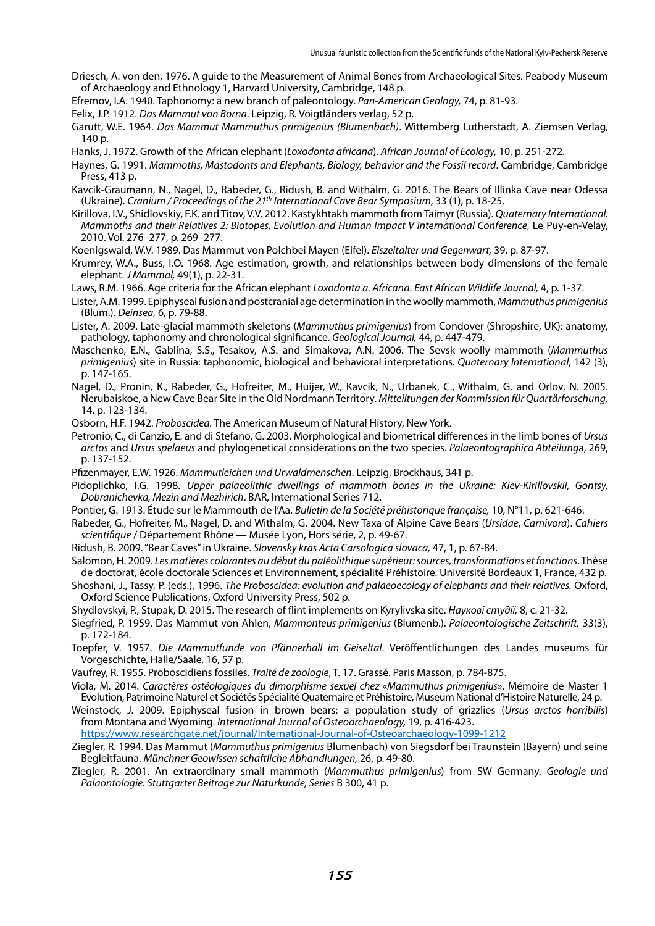- Driesch, A. von den, 1976. A guide to the Measurement of Animal Bones from Archaeological Sites. Peabody Museum of Archaeology and Ethnology 1, Harvard University, Cambridge, 148 p.
- Efremov, I.A. 1940. Taphonomy: a new branch of paleontology. *Pan-American Geology,* 74, p. 81-93.
- Felix, J.P. 1912. *Das Mammut von Borna*. Leipzig, R. Voigtländers verlag, 52 p.
- Garutt, W.E. 1964. *Das Mammut Mammuthus primigenius (Blumenbach)*. Wittemberg Lutherstadt, A. Ziemsen Verlag, 140 p.
- Hanks, J. 1972. Growth of the African elephant (*Loxodonta africana*). *African Journal of Ecology,* 10, p. 251-272.
- Haynes, G. 1991. *Mammoths, Mastodonts and Elephants, Biology, behavior and the Fossil record*. Cambridge, Cambridge Press, 413 p.
- Kavcik-Graumann, N., Nagel, D., Rabeder, G., Ridush, B. and Withalm, G. 2016. The Bears of Illinka Cave near Odessa (Ukraine). *Cranium / Proceedings of the 21th International Cave Bear Symposium*, 33 (1), p. 18-25.
- Kirillova, I.V., Shidlovskiy, F.K. and Titov, V.V. 2012. Kastykhtakh mammoth from Taimyr (Russia). *Quaternary International. Mammoths and their Relatives 2: Biotopes, Evolution and Human Impact V International Conference*, Le Puy-en-Velay, 2010. Vol. 276–277, p. 269–277.
- Koenigswald, W.V. 1989. Das Mammut von Polchbei Mayen (Eifel). *Eiszeitalter und Gegenwart,* 39, p. 87-97.
- Krumrey, W.A., Buss, I.O. 1968. Age estimation, growth, and relationships between body dimensions of the female elephant. *J Mammal,* 49(1), p. 22-31.
- Laws, R.M. 1966. Age criteria for the African elephant *Loxodonta a. Africana*. *East African Wildlife Journal,* 4, p. 1-37.
- Lister, A.M. 1999. Epiphyseal fusion and postcranial age determination in the woolly mammoth, *Mammuthus primigenius* (Blum.). *Deinsea,* 6, p. 79-88.
- Lister, A. 2009. Late-glacial mammoth skeletons (*Mammuthus primigenius*) from Condover (Shropshire, UK): anatomy, pathology, taphonomy and chronological significance. *Geological Journal,* 44, p. 447-479.
- Maschenko, E.N., Gablina, S.S., Tesakov, A.S. and Simakova, A.N. 2006. The Sevsk woolly mammoth (*Mammuthus primigenius*) site in Russia: taphonomic, biological and behavioral interpretations. *Quaternary International*, 142 (3), p. 147-165.
- Nagel, D., Pronin, K., Rabeder, G., Hofreiter, M., Huijer, W., Kavcik, N., Urbanek, C., Withalm, G. and Orlov, N. 2005. Nerubaiskoe, a New Cave Bear Site in the Old Nordmann Territory. *Mitteiltungen der Kommission für Quartärforschung,* 14, p. 123-134.
- Osborn, H.F. 1942. *Proboscidea.* The American Museum of Natural History, New York.
- Petronio, C., di Canzio, E. and di Stefano, G. 2003. Morphological and biometrical differences in the limb bones of *Ursus arctos* and *Ursus spelaeus* and phylogenetical considerations on the two species. *Palaeontographica Abteilung*a, 269, p. 137-152.
- Pfizenmayer, E.W. 1926. *Mammutleichen und Urwaldmenschen*. Leipzig, Brockhaus, 341 p.
- Pidoplichko, I.G. 1998. *Upper palaeolithic dwellings of mammoth bones in the Ukraine: Kiev-Kirillovskii, Gontsy, Dobranichevka, Mezin and Mezhirich*. BAR, International Series 712.
- Pontier, G. 1913. Étude sur le Mammouth de l'Aa. *Bulletin de la Société préhistorique française,* 10, N°11, p. 621-646.
- Rabeder, G., Hofreiter, M., Nagel, D. and Withalm, G. 2004. New Taxa of Alpine Cave Bears (*Ursidae*, *Carnivora*). *Cahiers scientifique* / Département Rhône — Musée Lyon, Hors série, 2, p. 49-67.
- Ridush, B. 2009. "Bear Caves" in Ukraine. *Slovensky kras Acta Carsologica slovaca,* 47, 1, p. 67-84.
- Salomon, H. 2009. *Les matières colorantes au début du paléolithique supérieur: sources, transformations et fonctions*. Thèse de doctorat, école doctorale Sciences et Environnement, spécialité Préhistoire. Université Bordeaux 1, France, 432 p.
- Shoshani, J., Tassy, P. (eds.), 1996. *The Proboscidea: evolution and palaeoecology of elephants and their relatives.* Oxford, Oxford Science Publications, Oxford University Press, 502 p.
- Shydlovskyi, P., Stupak, D. 2015. The research of flint implements on Kyrylivska site. *Наукові студії,* 8, с. 21-32.
- Siegfried, P. 1959. Das Mammut von Ahlen, *Mammonteus primigenius* (Blumenb.). *Palaeontologische Zeitschrift,* 33(3), p. 172-184.
- Toepfer, V. 1957. *Die Mammutfunde von Pfännerhall im Geiseltal*. Veröffentlichungen des Landes museums für Vorgeschichte, Halle/Saale, 16, 57 p.
- Vaufrey, R. 1955. Proboscidiens fossiles. *Traité de zoologie*, T. 17. Grassé. Paris Masson, p. 784-875.
- Viola, M. 2014. *Caractères ostéologiques du dimorphisme sexuel chez* «*Mammuthus primigenius*». Mémoire de Master 1 Evolution, Patrimoine Naturel et Sociétés Spécialité Quaternaire et Préhistoire, Museum National d'Histoire Naturelle, 24 p.
- Weinstock, J. 2009. Epiphyseal fusion in brown bears: a population study of grizzlies (*Ursus arctos horribilis*) from Montana and Wyoming. *International Journal of Osteoarchaeology,* 19, p. 416-423.
- <https://www.researchgate.net/journal/International-Journal-of-Osteoarchaeology-1099-1212>
- Ziegler, R. 1994. Das Mammut (*Mammuthus primigenius* Blumenbach) von Siegsdorf bei Traunstein (Bayern) und seine Begleitfauna. *Münchner Geowissen schaftliche Abhandlungen,* 26, p. 49-80.
- Ziegler, R. 2001. An extraordinary small mammoth (*Mammuthus primigenius*) from SW Germany. *Geologie und Palaontologie*. *Stuttgarter Beitrage zur Naturkunde, Series* B 300, 41 p.